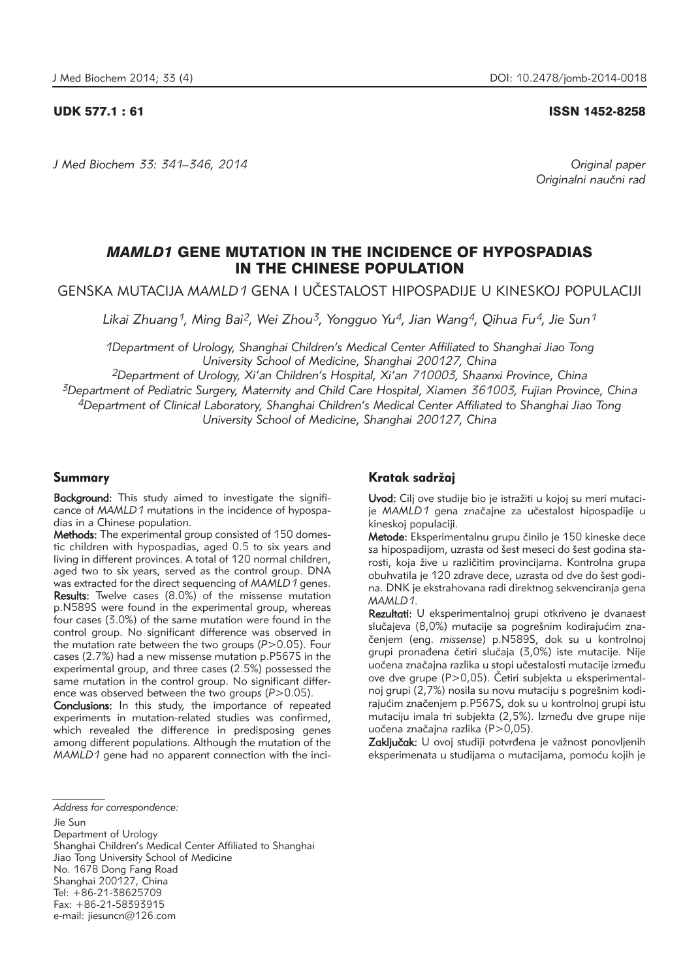*J Med Biochem 33: 341–346, 2014 Original paper*

## UDK 577.1 : 61 ISSN 1452-8258

Originalni naučni rad

# *MAMLD1* GENE MUTATION IN THE INCIDENCE OF HYPOSPADIAS IN THE CHINESE POPULATION

GENSKA MUTACIJA *MAMLD1* GENA I U^ESTALOST HIPOSPADIJE U KINESKOJ POPULACIJI

*Likai Zhuang1, Ming Bai2, Wei Zhou3, Yongguo Yu4, Jian Wang4, Qihua Fu4, Jie Sun1*

*1Department of Urology, Shanghai Children's Medical Center Affiliated to Shanghai Jiao Tong University School of Medicine, Shanghai 200127, China*

*2Department of Urology, Xi'an Children's Hospital, Xi'an 710003, Shaanxi Province, China 3Department of Pediatric Surgery, Maternity and Child Care Hospital, Xiamen 361003, Fujian Province, China 4Department of Clinical Laboratory, Shanghai Children's Medical Center Affiliated to Shanghai Jiao Tong University School of Medicine, Shanghai 200127, China*

# Summary

Background: This study aimed to investigate the significance of *MAMLD1* mutations in the incidence of hypospadias in a Chinese population.

Methods: The experimental group consisted of 150 domestic children with hypospadias, aged 0.5 to six years and living in different provinces. A total of 120 normal children, aged two to six years, served as the control group. DNA was extracted for the direct sequencing of *MAMLD1* genes. Results: Twelve cases (8.0%) of the missense mutation p.N589S were found in the experimental group, whereas four cases (3.0%) of the same mutation were found in the control group. No significant difference was observed in the mutation rate between the two groups (*P*>0.05). Four cases (2.7%) had a new missense mutation p.P567S in the experimental group, and three cases (2.5%) possessed the same mutation in the control group. No significant difference was observed between the two groups (*P*>0.05).

Conclusions: In this study, the importance of repeated experiments in mutation-related studies was confirmed, which revealed the difference in predisposing genes among different populations. Although the mutation of the *MAMLD1* gene had no apparent connection with the inci-

Jie Sun Department of Urology Shanghai Children's Medical Center Affiliated to Shanghai Jiao Tong University School of Medicine No. 1678 Dong Fang Road Shanghai 200127, China Tel: +86-21-38625709 Fax: +86-21-58393915 e-mail: jiesuncn@126.com

# Kratak sadržaj

Uvod: Cilj ove studije bio je istražiti u kojoj su meri mutacije MAMLD1 gena značajne za učestalost hipospadije u kineskoj populaciji.

Metode: Eksperimentalnu grupu činilo je 150 kineske dece sa hipospadijom, uzrasta od šest meseci do šest godina starosti, koja žive u različitim provincijama. Kontrolna grupa obuhvatila je 120 zdrave dece, uzrasta od dve do šest godina. DNK je ekstrahovana radi direktnog sekvenciranja gena *MAMLD1*.

Rezultati: U eksperimentalnoj grupi otkriveno je dvanaest slučajeva (8,0%) mutacije sa pogrešnim kodirajućim zna-~enjem (eng. *missense*) p.N589S, dok su u kontrolnoj grupi pronađena četiri slučaja (3,0%) iste mutacije. Nije uočena značajna razlika u stopi učestalosti mutacije između ove dve grupe ( $P > 0.05$ ). Četiri subjekta u eksperimentalnoj grupi (2,7%) nosila su novu mutaciju s pogrešnim kodirajućim značenjem p.P567S, dok su u kontrolnoj grupi istu mutaciju imala tri subjekta (2,5%). Između dve grupe nije uočena značajna razlika (P>0,05).

Zaključak: U ovoj studiji potvrđena je važnost ponovljenih eksperimenata u studijama o mutacijama, pomoću kojih je

*Address for correspondence:*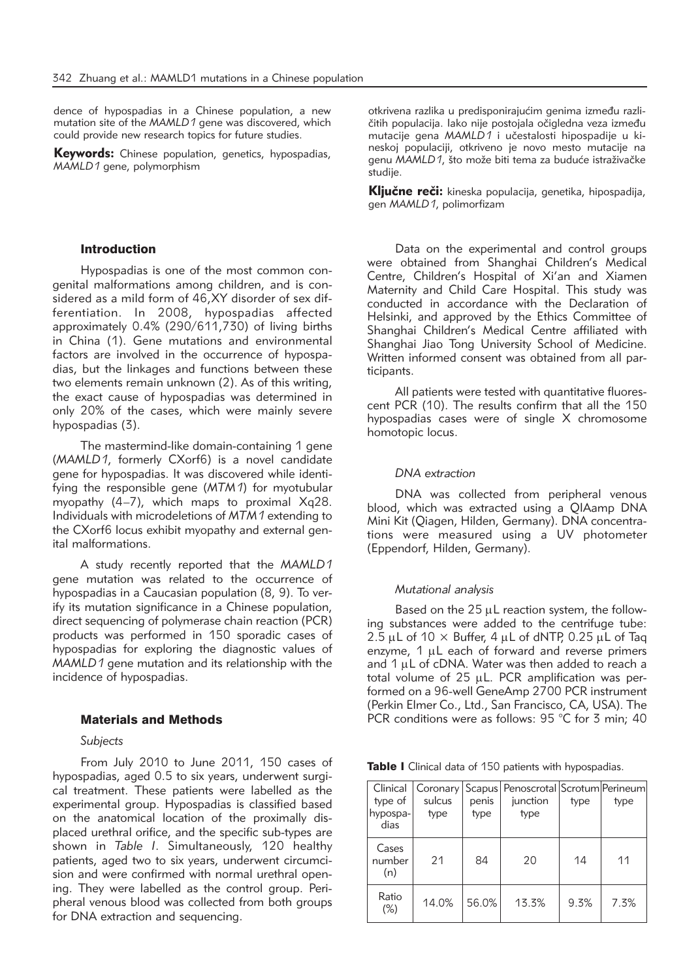dence of hypospadias in a Chinese population, a new mutation site of the *MAMLD1* gene was discovered, which could provide new research topics for future studies.

**Keywords:** Chinese population, genetics, hypospadias, *MAMLD1* gene, polymorphism

# Introduction

Hypospadias is one of the most common congenital malformations among children, and is considered as a mild form of 46,XY disorder of sex differentiation. In 2008, hypospadias affected approximately 0.4% (290/611,730) of living births in China (1). Gene mutations and environmental factors are involved in the occurrence of hypospadias, but the linkages and functions between these two elements remain unknown (2). As of this writing, the exact cause of hypospadias was determined in only 20% of the cases, which were mainly severe hypospadias (3).

The mastermind-like domain-containing 1 gene (*MAMLD1*, formerly CXorf6) is a novel candidate gene for hypospadias. It was discovered while identifying the responsible gene (*MTM1*) for myotubular myopathy (4–7), which maps to proximal Xq28. Individuals with microdeletions of *MTM1* extending to the CXorf6 locus exhibit myopathy and external genital malformations.

A study recently reported that the *MAMLD1* gene mutation was related to the occurrence of hypospadias in a Caucasian population (8, 9). To verify its mutation significance in a Chinese population, direct sequencing of polymerase chain reaction (PCR) products was performed in 150 sporadic cases of hypospadias for exploring the diagnostic values of *MAMLD1* gene mutation and its relationship with the incidence of hypospadias.

## Materials and Methods

## *Subjects*

From July 2010 to June 2011, 150 cases of hypospadias, aged 0.5 to six years, underwent surgical treatment. These patients were labelled as the experimental group. Hypospadias is classified based on the anatomical location of the proximally displaced urethral orifice, and the specific sub-types are shown in *Table I*. Simultaneously, 120 healthy patients, aged two to six years, underwent circumcision and were confirmed with normal urethral opening. They were labelled as the control group. Peripheral venous blood was collected from both groups for DNA extraction and sequencing.

otkrivena razlika u predisponirajućim genima između različitih populacija. Iako nije postojala očigledna veza između mutacije gena MAMLD1 i učestalosti hipospadije u kineskoj populaciji, otkriveno je novo mesto mutacije na genu *MAMLD1*, što može biti tema za buduće istraživačke studije.

Kliučne reči: kineska populacija, genetika, hipospadija, gen *MAMLD1*, polimorfizam

Data on the experimental and control groups were obtained from Shanghai Children's Medical Centre, Children's Hospital of Xi'an and Xiamen Maternity and Child Care Hospital. This study was conducted in accordance with the Declaration of Helsinki, and approved by the Ethics Committee of Shanghai Children's Medical Centre affiliated with Shanghai Jiao Tong University School of Medicine. Written informed consent was obtained from all participants.

All patients were tested with quantitative fluorescent PCR (10). The results confirm that all the 150 hypospadias cases were of single X chromosome homotopic locus.

## *DNA extraction*

DNA was collected from peripheral venous blood, which was extracted using a QIAamp DNA Mini Kit (Qiagen, Hilden, Germany). DNA concentrations were measured using a UV photometer (Eppendorf, Hilden, Germany).

#### *Mutational analysis*

Based on the  $25 \mu L$  reaction system, the following substances were added to the centrifuge tube: 2.5  $\mu$ L of 10  $\times$  Buffer, 4  $\mu$ L of dNTP, 0.25  $\mu$ L of Taq enzyme,  $1 \mu L$  each of forward and reverse primers and  $1 \mu$ L of cDNA. Water was then added to reach a total volume of  $25 \mu L$ . PCR amplification was performed on a 96-well GeneAmp 2700 PCR instrument (Perkin Elmer Co., Ltd., San Francisco, CA, USA). The PCR conditions were as follows: 95 °C for 3 min; 40

Table I Clinical data of 150 patients with hypospadias.

| Clinical               |        |       | Coronary   Scapus   Penoscrotal   Scrotum   Perineum |      |      |
|------------------------|--------|-------|------------------------------------------------------|------|------|
| type of                | sulcus | penis | junction                                             | type | type |
| hypospa-<br>dias       | type   | type  | type                                                 |      |      |
| Cases<br>number<br>(n) | 21     | 84    | 20                                                   | 14   | 11   |
| Ratio<br>$(\%)$        | 14.0%  | 56.0% | 13.3%                                                | 9.3% | 7.3% |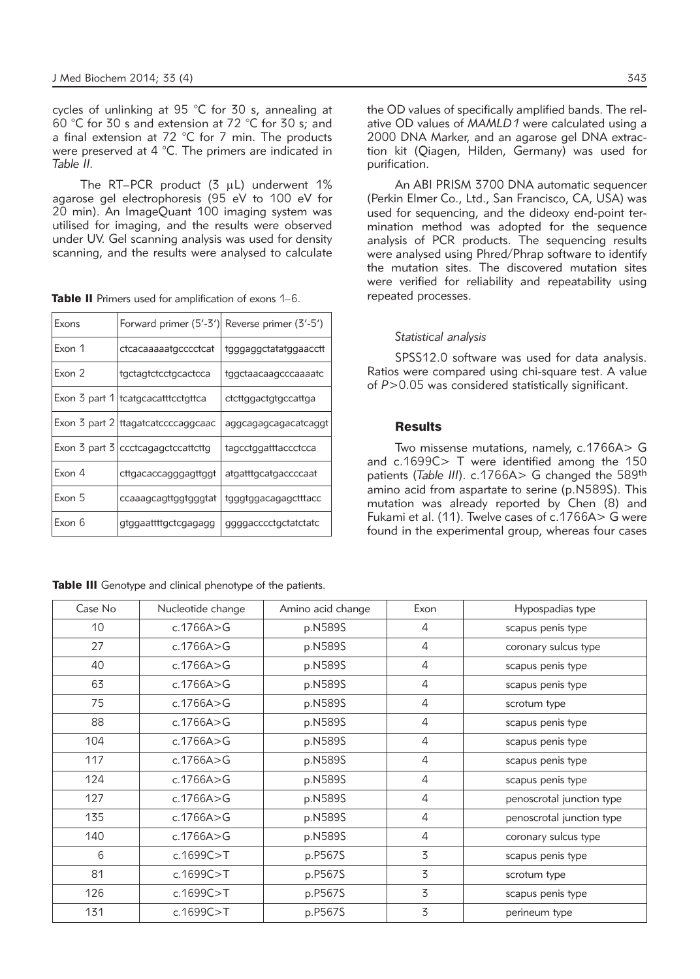cycles of unlinking at 95 °C for 30 s, annealing at 60 °C for 30 s and extension at 72 °C for 30 s; and a final extension at 72 °C for 7 min. The products were preserved at 4  $^{\circ}$ C. The primers are indicated in *Table II.*

The RT–PCR product  $(3 \mu L)$  underwent 1% agarose gel electrophoresis (95 eV to 100 eV for 20 min). An ImageQuant 100 imaging system was utilised for imaging, and the results were observed under UV. Gel scanning analysis was used for density scanning, and the results were analysed to calculate

| Exons  |                                                            | Forward primer (5'-3') Reverse primer (3'-5') |
|--------|------------------------------------------------------------|-----------------------------------------------|
| Exon 1 | ctcacaaaaatgcccctcat                                       | tgggaggctatatggaacctt                         |
| Exon 2 | tgctagtctcctgcactcca                                       | tggctaacaagcccaaaatc                          |
|        | Exon 3 part 1   tcatgcacatttcctgttca                       | ctcttggactgtgccattga                          |
|        | Exon 3 part 2   ttagatcatccccaggcaac                       | aggcagagcagacatcaggt                          |
|        | Exon $\frac{1}{3}$ part $\frac{1}{3}$ ccctcagagctccattcttg | tagcctggatttaccctcca                          |
| Exon 4 | cttgacaccagggagttggt                                       | atgatttgcatgaccccaat                          |
| Exon 5 | ccaaagcagttggtgggtat                                       | tgggtggacagagctttacc                          |
| Exon 6 | gtggaattttgctcgagagg                                       | ggggacccctgctatctatc                          |

Table III Genotype and clinical phenotype of the patients.

the OD values of specifically amplified bands. The relative OD values of *MAMLD1* were calculated using a 2000 DNA Marker, and an agarose gel DNA extraction kit (Qiagen, Hilden, Germany) was used for purification.

An ABI PRISM 3700 DNA automatic sequencer (Perkin Elmer Co., Ltd., San Francisco, CA, USA) was used for sequencing, and the dideoxy end-point termination method was adopted for the sequence analysis of PCR products. The sequencing results were analysed using Phred/Phrap software to identify the mutation sites. The discovered mutation sites were verified for reliability and repeatability using repeated processes.

## *Statistical analysis*

SPSS12.0 software was used for data analysis. Ratios were compared using chi-square test. A value of *P*>0.05 was considered statistically significant.

# **Results**

Two missense mutations, namely, c.1766A> G and c.1699C> T were identified among the 150 patients (*Table III*). c.1766A> G changed the 589<sup>th</sup> amino acid from aspartate to serine (p.N589S). This mutation was already reported by Chen (8) and Fukami et al. (11). Twelve cases of c.1766A> G were found in the experimental group, whereas four cases

| Case No | Nucleotide change | Amino acid change | Exon | Hypospadias type          |
|---------|-------------------|-------------------|------|---------------------------|
| 10      | c.1766A > G       | p.N589S           | 4    | scapus penis type         |
| 27      | c.1766A $>$ G     | p.N589S           | 4    | coronary sulcus type      |
| 40      | c.1766A>G         | p.N589S           | 4    | scapus penis type         |
| 63      | c.1766A > G       | p.N589S           | 4    | scapus penis type         |
| 75      | c.1766A > G       | p.N589S           | 4    | scrotum type              |
| 88      | c.1766A > G       | p.N589S           | 4    | scapus penis type         |
| 104     | c.1766A > G       | p.N589S           | 4    | scapus penis type         |
| 117     | c.1766A > G       | p.N589S           | 4    | scapus penis type         |
| 124     | c.1766A $>$ G     | p.N589S           | 4    | scapus penis type         |
| 127     | c.1766A > G       | p.N589S           | 4    | penoscrotal junction type |
| 135     | c.1766A > G       | p.N589S           | 4    | penoscrotal junction type |
| 140     | c.1766A > G       | p.N589S           | 4    | coronary sulcus type      |
| 6       | c.1699C > T       | p.P567S           | 3    | scapus penis type         |
| 81      | c.1699C > T       | p.P567S           | 3    | scrotum type              |
| 126     | c.1699C > T       | p.P567S           | 3    | scapus penis type         |
| 131     | c.1699C > T       | p.P567S           | 3    | perineum type             |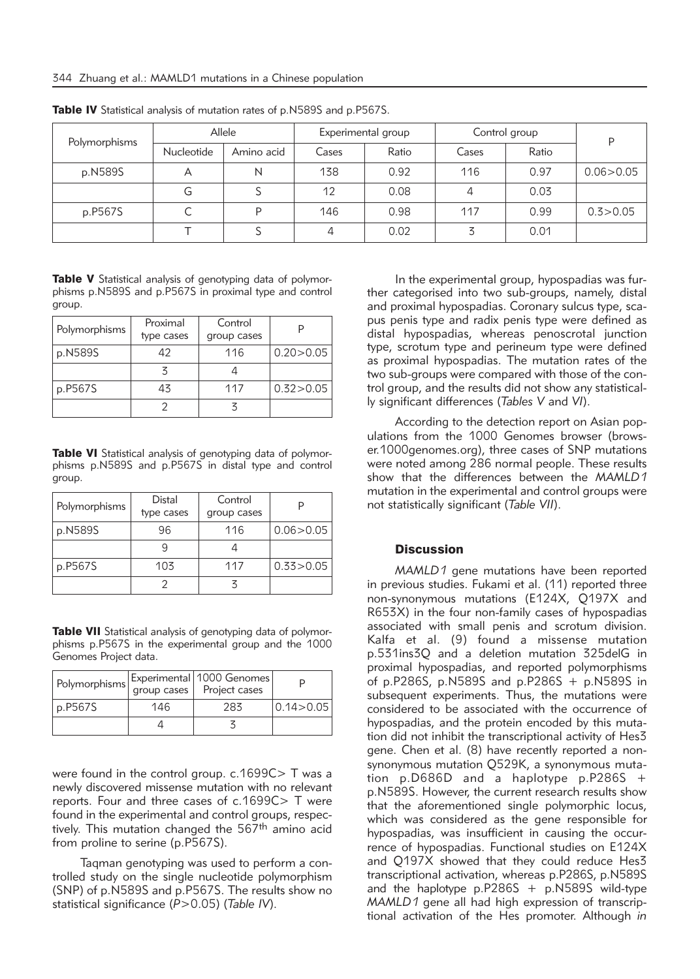| Polymorphisms | Allele     |            | Experimental group |       | Control group |       | D           |
|---------------|------------|------------|--------------------|-------|---------------|-------|-------------|
|               | Nucleotide | Amino acid | Cases              | Ratio | Cases         | Ratio |             |
| p.N589S       | $\forall$  | N          | 138                | 0.92  | 116           | 0.97  | 0.06 > 0.05 |
|               | G          |            | 12                 | 0.08  | 4             | 0.03  |             |
| p.P567S       |            | D          | 146                | 0.98  | 117           | 0.99  | 0.3 > 0.05  |
|               |            |            | 4                  | 0.02  |               | 0.01  |             |

Table IV Statistical analysis of mutation rates of p.N589S and p.P567S.

Table V Statistical analysis of genotyping data of polymorphisms p.N589S and p.P567S in proximal type and control group.

| Polymorphisms | Proximal<br>type cases | Control<br>group cases |             |
|---------------|------------------------|------------------------|-------------|
| p.N589S       | 42                     | 116                    | 0.20 > 0.05 |
|               |                        |                        |             |
| p.P567S       | 43                     | 117                    | 0.32 > 0.05 |
|               |                        |                        |             |

Table VI Statistical analysis of genotyping data of polymorphisms p.N589S and p.P567S in distal type and control group.

| Polymorphisms | Distal<br>type cases | Control<br>group cases |             |
|---------------|----------------------|------------------------|-------------|
| p.N589S       | 96                   | 116                    | 0.06 > 0.05 |
|               |                      |                        |             |
| p.P567S       | 103                  | 117                    | 0.33 > 0.05 |
|               |                      |                        |             |

Table VII Statistical analysis of genotyping data of polymorphisms p.P567S in the experimental group and the 1000 Genomes Project data.

| Polymorphisms |     | Experimental   1000 Genomes  <br>group cases   Project cases |                      |
|---------------|-----|--------------------------------------------------------------|----------------------|
| p.P567S       | 146 | 283                                                          | $ 0.14\rangle 0.05 $ |
|               |     |                                                              |                      |

were found in the control group. c.1699C > T was a newly discovered missense mutation with no relevant reports. Four and three cases of c.1699C> T were found in the experimental and control groups, respectively. This mutation changed the 567<sup>th</sup> amino acid from proline to serine (p.P567S).

Taqman genotyping was used to perform a controlled study on the single nucleotide polymorphism (SNP) of p.N589S and p.P567S. The results show no statistical significance (*P*>0.05) (*Table IV*).

In the experimental group, hypospadias was further categorised into two sub-groups, namely, distal and proximal hypospadias. Coronary sulcus type, scapus penis type and radix penis type were defined as distal hypospadias, whereas penoscrotal junction type, scrotum type and perineum type were defined as proximal hypospadias. The mutation rates of the two sub-groups were compared with those of the control group, and the results did not show any statistically significant differences (*Tables V* and *VI*).

According to the detection report on Asian populations from the 1000 Genomes browser (browser.1000genomes.org), three cases of SNP mutations were noted among 286 normal people. These results show that the differences between the *MAMLD1* mutation in the experimental and control groups were not statistically significant (*Table VII*).

## Discussion

*MAMLD1* gene mutations have been reported in previous studies. Fukami et al. (11) reported three non-synonymous mutations (E124X, Q197X and R653X) in the four non-family cases of hypospadias associated with small penis and scrotum division. Kalfa et al. (9) found a missense mutation p.531ins3Q and a deletion mutation 325delG in proximal hypospadias, and reported polymorphisms of p.P286S, p.N589S and p.P286S + p.N589S in subsequent experiments. Thus, the mutations were considered to be associated with the occurrence of hypospadias, and the protein encoded by this mutation did not inhibit the transcriptional activity of Hes3 gene. Chen et al. (8) have recently reported a nonsynonymous mutation Q529K, a synonymous mutation p.D686D and a haplotype p.P286S + p.N589S. However, the current research results show that the aforementioned single polymorphic locus, which was considered as the gene responsible for hypospadias, was insufficient in causing the occurrence of hypospadias. Functional studies on E124X and Q197X showed that they could reduce Hes3 transcriptional activation, whereas p.P286S, p.N589S and the haplotype  $p.P286S + p.N589S$  wild-type *MAMLD1* gene all had high expression of transcriptional activation of the Hes promoter. Although *in*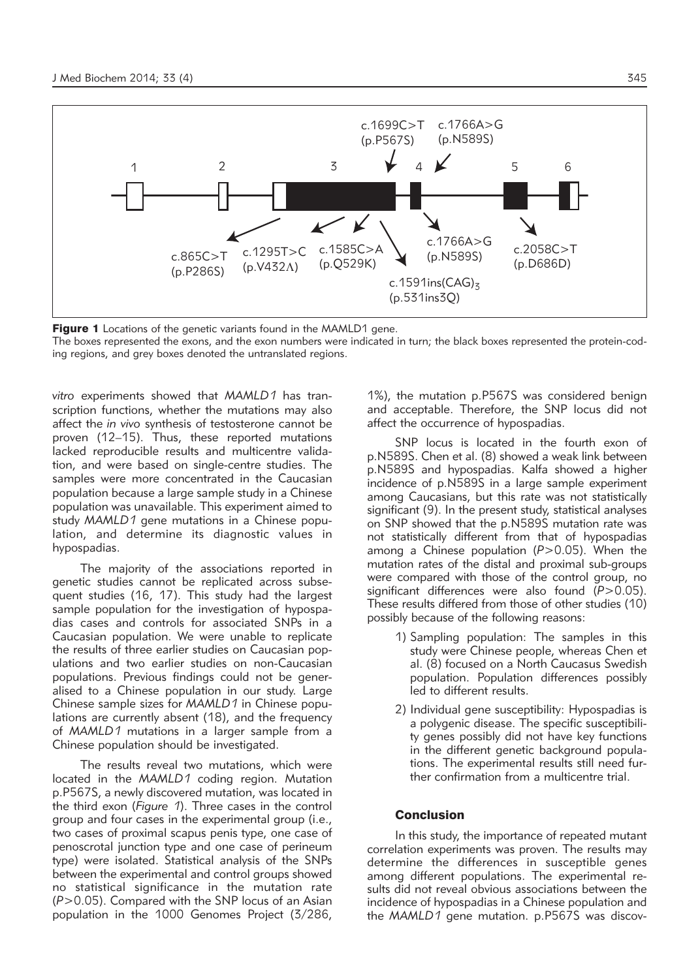

**Figure 1** Locations of the genetic variants found in the MAMLD1 gene.

The boxes represented the exons, and the exon numbers were indicated in turn; the black boxes represented the protein-coding regions, and grey boxes denoted the untranslated regions.

*vitro* experiments showed that *MAMLD1* has transcription functions, whether the mutations may also affect the *in vivo* synthesis of testosterone cannot be proven (12–15). Thus, these reported mutations lacked reproducible results and multicentre validation, and were based on single-centre studies. The samples were more concentrated in the Caucasian population because a large sample study in a Chinese population was unavailable. This experiment aimed to study *MAMLD1* gene mutations in a Chinese population, and determine its diagnostic values in hypospadias.

The majority of the associations reported in genetic studies cannot be replicated across subsequent studies (16, 17). This study had the largest sample population for the investigation of hypospadias cases and controls for associated SNPs in a Caucasian population. We were unable to replicate the results of three earlier studies on Caucasian populations and two earlier studies on non-Caucasian populations. Previous findings could not be generalised to a Chinese population in our study. Large Chinese sample sizes for *MAMLD1* in Chinese populations are currently absent (18), and the frequency of *MAMLD1* mutations in a larger sample from a Chinese population should be investigated.

The results reveal two mutations, which were located in the *MAMLD1* coding region. Mutation p.P567S, a newly discovered mutation, was located in the third exon (*Figure 1*). Three cases in the control group and four cases in the experimental group (i.e., two cases of proximal scapus penis type, one case of penoscrotal junction type and one case of perineum type) were isolated. Statistical analysis of the SNPs between the experimental and control groups showed no statistical significance in the mutation rate (*P*>0.05). Compared with the SNP locus of an Asian population in the 1000 Genomes Project (3/286,

1%), the mutation p.P567S was considered benign and acceptable. Therefore, the SNP locus did not affect the occurrence of hypospadias.

SNP locus is located in the fourth exon of p.N589S. Chen et al. (8) showed a weak link between p.N589S and hypospadias. Kalfa showed a higher incidence of p.N589S in a large sample experiment among Caucasians, but this rate was not statistically significant (9). In the present study, statistical analyses on SNP showed that the p.N589S mutation rate was not statistically different from that of hypospadias among a Chinese population (*P*>0.05). When the mutation rates of the distal and proximal sub-groups were compared with those of the control group, no significant differences were also found ( $P > 0.05$ ). These results differed from those of other studies (10) possibly because of the following reasons:

- 1) Sampling population: The samples in this study were Chinese people, whereas Chen et al. (8) focused on a North Caucasus Swedish population. Population differences possibly led to different results.
- 2) Individual gene susceptibility: Hypospadias is a polygenic disease. The specific susceptibility genes possibly did not have key functions in the different genetic background populations. The experimental results still need further confirmation from a multicentre trial.

#### **Conclusion**

In this study, the importance of repeated mutant correlation experiments was proven. The results may determine the differences in susceptible genes among different populations. The experimental results did not reveal obvious associations between the incidence of hypospadias in a Chinese population and the *MAMLD1* gene mutation. p.P567S was discov-